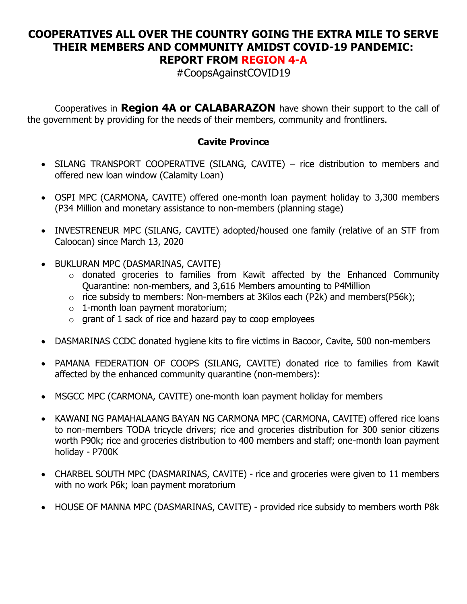## **COOPERATIVES ALL OVER THE COUNTRY GOING THE EXTRA MILE TO SERVE THEIR MEMBERS AND COMMUNITY AMIDST COVID-19 PANDEMIC: REPORT FROM REGION 4-A**

#CoopsAgainstCOVID19

Cooperatives in **Region 4A or CALABARAZON** have shown their support to the call of the government by providing for the needs of their members, community and frontliners.

## **Cavite Province**

- SILANG TRANSPORT COOPERATIVE (SILANG, CAVITE) rice distribution to members and offered new loan window (Calamity Loan)
- OSPI MPC (CARMONA, CAVITE) offered one-month loan payment holiday to 3,300 members (P34 Million and monetary assistance to non-members (planning stage)
- INVESTRENEUR MPC (SILANG, CAVITE) adopted/housed one family (relative of an STF from Caloocan) since March 13, 2020
- BUKLURAN MPC (DASMARINAS, CAVITE)
	- o donated groceries to families from Kawit affected by the Enhanced Community Quarantine: non-members, and 3,616 Members amounting to P4Million
	- $\circ$  rice subsidy to members: Non-members at 3Kilos each (P2k) and members(P56k);
	- o 1-month loan payment moratorium;
	- $\circ$  grant of 1 sack of rice and hazard pay to coop employees
- DASMARINAS CCDC donated hygiene kits to fire victims in Bacoor, Cavite, 500 non-members
- PAMANA FEDERATION OF COOPS (SILANG, CAVITE) donated rice to families from Kawit affected by the enhanced community quarantine (non-members):
- MSGCC MPC (CARMONA, CAVITE) one-month loan payment holiday for members
- KAWANI NG PAMAHALAANG BAYAN NG CARMONA MPC (CARMONA, CAVITE) offered rice loans to non-members TODA tricycle drivers; rice and groceries distribution for 300 senior citizens worth P90k; rice and groceries distribution to 400 members and staff; one-month loan payment holiday - P700K
- CHARBEL SOUTH MPC (DASMARINAS, CAVITE) rice and groceries were given to 11 members with no work P6k; loan payment moratorium
- HOUSE OF MANNA MPC (DASMARINAS, CAVITE) provided rice subsidy to members worth P8k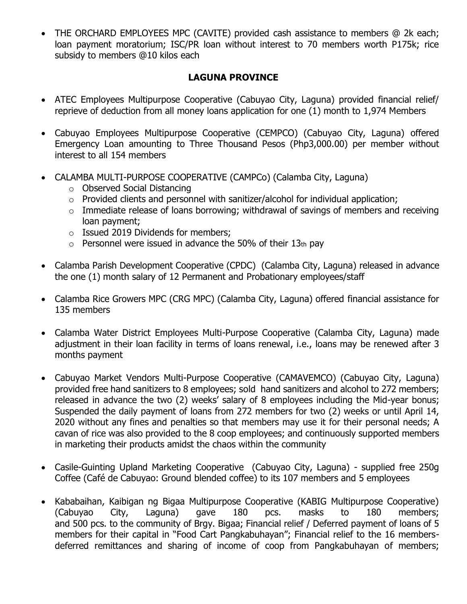• THE ORCHARD EMPLOYEES MPC (CAVITE) provided cash assistance to members @ 2k each; loan payment moratorium; ISC/PR loan without interest to 70 members worth P175k; rice subsidy to members @10 kilos each

## **LAGUNA PROVINCE**

- ATEC Employees Multipurpose Cooperative (Cabuyao City, Laguna) provided financial relief/ reprieve of deduction from all money loans application for one (1) month to 1,974 Members
- Cabuyao Employees Multipurpose Cooperative (CEMPCO) (Cabuyao City, Laguna) offered Emergency Loan amounting to Three Thousand Pesos (Php3,000.00) per member without interest to all 154 members
- CALAMBA MULTI-PURPOSE COOPERATIVE (CAMPCo) (Calamba City, Laguna)
	- o Observed Social Distancing
	- o Provided clients and personnel with sanitizer/alcohol for individual application;
	- $\circ$  Immediate release of loans borrowing; withdrawal of savings of members and receiving loan payment;
	- o Issued 2019 Dividends for members;
	- $\circ$  Personnel were issued in advance the 50% of their 13th pay
- Calamba Parish Development Cooperative (CPDC) (Calamba City, Laguna) released in advance the one (1) month salary of 12 Permanent and Probationary employees/staff
- Calamba Rice Growers MPC (CRG MPC) (Calamba City, Laguna) offered financial assistance for 135 members
- Calamba Water District Employees Multi-Purpose Cooperative (Calamba City, Laguna) made adjustment in their loan facility in terms of loans renewal, i.e., loans may be renewed after 3 months payment
- Cabuyao Market Vendors Multi-Purpose Cooperative (CAMAVEMCO) (Cabuyao City, Laguna) provided free hand sanitizers to 8 employees; sold hand sanitizers and alcohol to 272 members; released in advance the two (2) weeks' salary of 8 employees including the Mid-year bonus; Suspended the daily payment of loans from 272 members for two (2) weeks or until April 14, 2020 without any fines and penalties so that members may use it for their personal needs; A cavan of rice was also provided to the 8 coop employees; and continuously supported members in marketing their products amidst the chaos within the community
- Casile-Guinting Upland Marketing Cooperative (Cabuyao City, Laguna) supplied free 250g Coffee (Café de Cabuyao: Ground blended coffee) to its 107 members and 5 employees
- Kababaihan, Kaibigan ng Bigaa Multipurpose Cooperative (KABIG Multipurpose Cooperative) (Cabuyao City, Laguna) gave 180 pcs. masks to 180 members; and 500 pcs. to the community of Brgy. Bigaa; Financial relief / Deferred payment of loans of 5 members for their capital in "Food Cart Pangkabuhayan"; Financial relief to the 16 membersdeferred remittances and sharing of income of coop from Pangkabuhayan of members;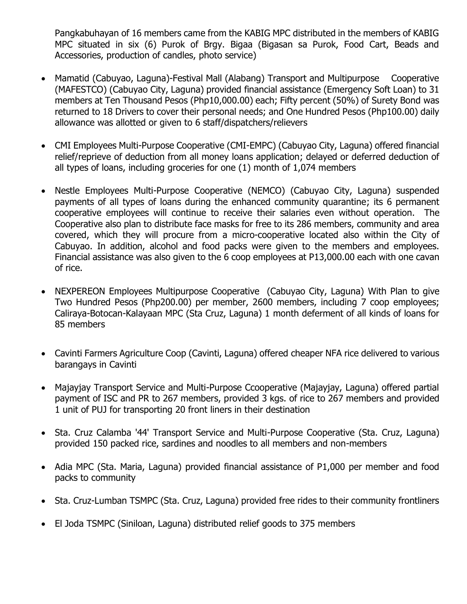Pangkabuhayan of 16 members came from the KABIG MPC distributed in the members of KABIG MPC situated in six (6) Purok of Brgy. Bigaa (Bigasan sa Purok, Food Cart, Beads and Accessories, production of candles, photo service)

- Mamatid (Cabuyao, Laguna)-Festival Mall (Alabang) Transport and Multipurpose Cooperative (MAFESTCO) (Cabuyao City, Laguna) provided financial assistance (Emergency Soft Loan) to 31 members at Ten Thousand Pesos (Php10,000.00) each; Fifty percent (50%) of Surety Bond was returned to 18 Drivers to cover their personal needs; and One Hundred Pesos (Php100.00) daily allowance was allotted or given to 6 staff/dispatchers/relievers
- CMI Employees Multi-Purpose Cooperative (CMI-EMPC) (Cabuyao City, Laguna) offered financial relief/reprieve of deduction from all money loans application; delayed or deferred deduction of all types of loans, including groceries for one (1) month of 1,074 members
- Nestle Employees Multi-Purpose Cooperative (NEMCO) (Cabuyao City, Laguna) suspended payments of all types of loans during the enhanced community quarantine; its 6 permanent cooperative employees will continue to receive their salaries even without operation. The Cooperative also plan to distribute face masks for free to its 286 members, community and area covered, which they will procure from a micro-cooperative located also within the City of Cabuyao. In addition, alcohol and food packs were given to the members and employees. Financial assistance was also given to the 6 coop employees at P13,000.00 each with one cavan of rice.
- NEXPEREON Employees Multipurpose Cooperative (Cabuyao City, Laguna) With Plan to give Two Hundred Pesos (Php200.00) per member, 2600 members, including 7 coop employees; Caliraya-Botocan-Kalayaan MPC (Sta Cruz, Laguna) 1 month deferment of all kinds of loans for 85 members
- Cavinti Farmers Agriculture Coop (Cavinti, Laguna) offered cheaper NFA rice delivered to various barangays in Cavinti
- Majayjay Transport Service and Multi-Purpose Ccooperative (Majayjay, Laguna) offered partial payment of ISC and PR to 267 members, provided 3 kgs. of rice to 267 members and provided 1 unit of PUJ for transporting 20 front liners in their destination
- Sta. Cruz Calamba '44' Transport Service and Multi-Purpose Cooperative (Sta. Cruz, Laguna) provided 150 packed rice, sardines and noodles to all members and non-members
- Adia MPC (Sta. Maria, Laguna) provided financial assistance of P1,000 per member and food packs to community
- Sta. Cruz-Lumban TSMPC (Sta. Cruz, Laguna) provided free rides to their community frontliners
- El Joda TSMPC (Siniloan, Laguna) distributed relief goods to 375 members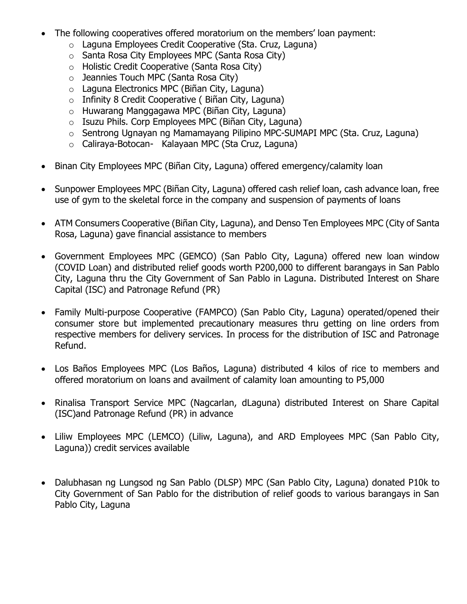- The following cooperatives offered moratorium on the members' loan payment:
	- o Laguna Employees Credit Cooperative (Sta. Cruz, Laguna)
	- o Santa Rosa City Employees MPC (Santa Rosa City)
	- o Holistic Credit Cooperative (Santa Rosa City)
	- o Jeannies Touch MPC (Santa Rosa City)
	- o Laguna Electronics MPC (Biñan City, Laguna)
	- $\circ$  Infinity 8 Credit Cooperative (Biñan City, Laguna)
	- o Huwarang Manggagawa MPC (Biñan City, Laguna)
	- o Isuzu Phils. Corp Employees MPC (Biñan City, Laguna)
	- o Sentrong Ugnayan ng Mamamayang Pilipino MPC-SUMAPI MPC (Sta. Cruz, Laguna)
	- o Caliraya-Botocan- Kalayaan MPC (Sta Cruz, Laguna)
- Binan City Employees MPC (Biñan City, Laguna) offered emergency/calamity loan
- Sunpower Employees MPC (Biñan City, Laguna) offered cash relief loan, cash advance loan, free use of gym to the skeletal force in the company and suspension of payments of loans
- ATM Consumers Cooperative (Biñan City, Laguna), and Denso Ten Employees MPC (City of Santa Rosa, Laguna) gave financial assistance to members
- Government Employees MPC (GEMCO) (San Pablo City, Laguna) offered new loan window (COVID Loan) and distributed relief goods worth P200,000 to different barangays in San Pablo City, Laguna thru the City Government of San Pablo in Laguna. Distributed Interest on Share Capital (ISC) and Patronage Refund (PR)
- Family Multi-purpose Cooperative (FAMPCO) (San Pablo City, Laguna) operated/opened their consumer store but implemented precautionary measures thru getting on line orders from respective members for delivery services. In process for the distribution of ISC and Patronage Refund.
- Los Baños Employees MPC (Los Baños, Laguna) distributed 4 kilos of rice to members and offered moratorium on loans and availment of calamity loan amounting to P5,000
- Rinalisa Transport Service MPC (Nagcarlan, dLaguna) distributed Interest on Share Capital (ISC)and Patronage Refund (PR) in advance
- Liliw Employees MPC (LEMCO) (Liliw, Laguna), and ARD Employees MPC (San Pablo City, Laguna)) credit services available
- Dalubhasan ng Lungsod ng San Pablo (DLSP) MPC (San Pablo City, Laguna) donated P10k to City Government of San Pablo for the distribution of relief goods to various barangays in San Pablo City, Laguna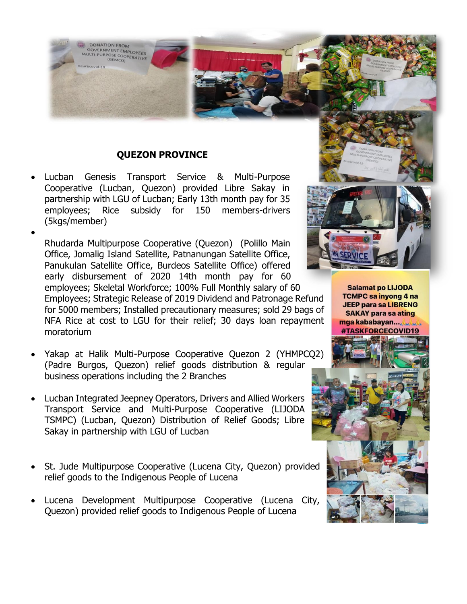

## **QUEZON PROVINCE**

• Lucban Genesis Transport Service & Multi-Purpose Cooperative (Lucban, Quezon) provided Libre Sakay in partnership with LGU of Lucban; Early 13th month pay for 35 employees; Rice subsidy for 150 members-drivers (5kgs/member)

• Rhudarda Multipurpose Cooperative (Quezon) (Polillo Main Office, Jomalig Island Satellite, Patnanungan Satellite Office, Panukulan Satellite Office, Burdeos Satellite Office) offered early disbursement of 2020 14th month pay for 60 employees; Skeletal Workforce; 100% Full Monthly salary of 60 Employees; Strategic Release of 2019 Dividend and Patronage Refund for 5000 members; Installed precautionary measures; sold 29 bags of NFA Rice at cost to LGU for their relief; 30 days loan repayment moratorium

- Yakap at Halik Multi-Purpose Cooperative Quezon 2 (YHMPCQ2) (Padre Burgos, Quezon) relief goods distribution & regular business operations including the 2 Branches
- Lucban Integrated Jeepney Operators, Drivers and Allied Workers Transport Service and Multi-Purpose Cooperative (LIJODA TSMPC) (Lucban, Quezon) Distribution of Relief Goods; Libre Sakay in partnership with LGU of Lucban
- St. Jude Multipurpose Cooperative (Lucena City, Quezon) provided relief goods to the Indigenous People of Lucena
- Lucena Development Multipurpose Cooperative (Lucena City, Quezon) provided relief goods to Indigenous People of Lucena



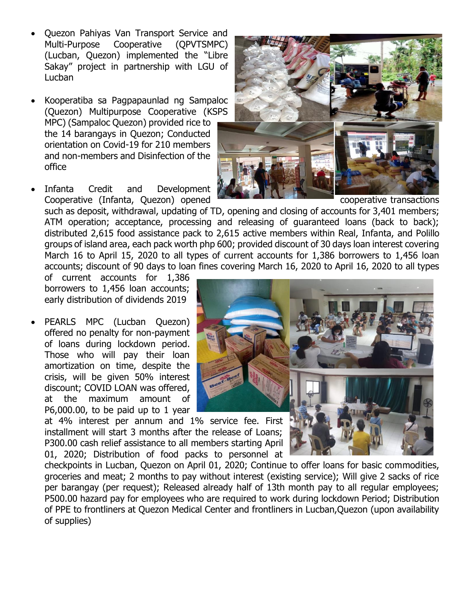- Quezon Pahiyas Van Transport Service and Multi-Purpose Cooperative (QPVTSMPC) (Lucban, Quezon) implemented the "Libre Sakay" project in partnership with LGU of Lucban
- Kooperatiba sa Pagpapaunlad ng Sampaloc (Quezon) Multipurpose Cooperative (KSPS MPC) (Sampaloc Quezon) provided rice to the 14 barangays in Quezon; Conducted orientation on Covid-19 for 210 members and non-members and Disinfection of the office
- Infanta Credit and Development Cooperative (Infanta, Quezon) opened Cooperative transactions

such as deposit, withdrawal, updating of TD, opening and closing of accounts for 3,401 members; ATM operation; acceptance, processing and releasing of guaranteed loans (back to back); distributed 2,615 food assistance pack to 2,615 active members within Real, Infanta, and Polillo groups of island area, each pack worth php 600; provided discount of 30 days loan interest covering March 16 to April 15, 2020 to all types of current accounts for 1,386 borrowers to 1,456 loan accounts; discount of 90 days to loan fines covering March 16, 2020 to April 16, 2020 to all types

of current accounts for 1,386 borrowers to 1,456 loan accounts; early distribution of dividends 2019

PEARLS MPC (Lucban Quezon) offered no penalty for non-payment of loans during lockdown period. Those who will pay their loan amortization on time, despite the crisis, will be given 50% interest discount; COVID LOAN was offered, at the maximum amount of P6,000.00, to be paid up to 1 year

at 4% interest per annum and 1% service fee. First installment will start 3 months after the release of Loans; P300.00 cash relief assistance to all members starting April 01, 2020; Distribution of food packs to personnel at

checkpoints in Lucban, Quezon on April 01, 2020; Continue to offer loans for basic commodities, groceries and meat; 2 months to pay without interest (existing service); Will give 2 sacks of rice per barangay (per request); Released already half of 13th month pay to all regular employees; P500.00 hazard pay for employees who are required to work during lockdown Period; Distribution of PPE to frontliners at Quezon Medical Center and frontliners in Lucban,Quezon (upon availability of supplies)



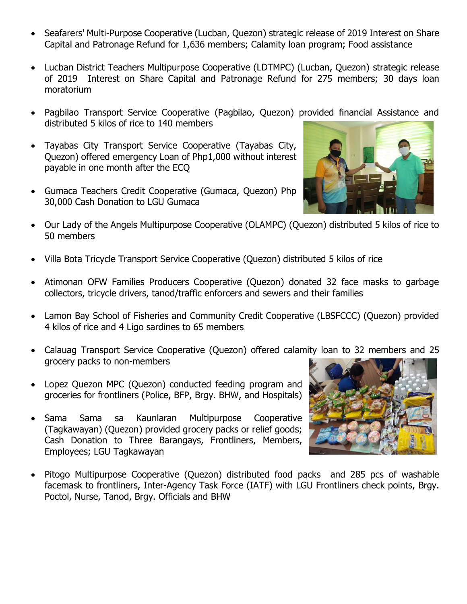- Seafarers' Multi-Purpose Cooperative (Lucban, Quezon) strategic release of 2019 Interest on Share Capital and Patronage Refund for 1,636 members; Calamity loan program; Food assistance
- Lucban District Teachers Multipurpose Cooperative (LDTMPC) (Lucban, Quezon) strategic release of 2019 Interest on Share Capital and Patronage Refund for 275 members; 30 days loan moratorium
- Pagbilao Transport Service Cooperative (Pagbilao, Quezon) provided financial Assistance and distributed 5 kilos of rice to 140 members
- Tayabas City Transport Service Cooperative (Tayabas City, Quezon) offered emergency Loan of Php1,000 without interest payable in one month after the ECQ
- Gumaca Teachers Credit Cooperative (Gumaca, Quezon) Php 30,000 Cash Donation to LGU Gumaca



- Our Lady of the Angels Multipurpose Cooperative (OLAMPC) (Quezon) distributed 5 kilos of rice to 50 members
- Villa Bota Tricycle Transport Service Cooperative (Quezon) distributed 5 kilos of rice
- Atimonan OFW Families Producers Cooperative (Quezon) donated 32 face masks to garbage collectors, tricycle drivers, tanod/traffic enforcers and sewers and their families
- Lamon Bay School of Fisheries and Community Credit Cooperative (LBSFCCC) (Quezon) provided 4 kilos of rice and 4 Ligo sardines to 65 members
- Calauag Transport Service Cooperative (Quezon) offered calamity loan to 32 members and 25 grocery packs to non-members
- Lopez Quezon MPC (Quezon) conducted feeding program and groceries for frontliners (Police, BFP, Brgy. BHW, and Hospitals)
- Sama Sama sa Kaunlaran Multipurpose Cooperative (Tagkawayan) (Quezon) provided grocery packs or relief goods; Cash Donation to Three Barangays, Frontliners, Members, Employees; LGU Tagkawayan



• Pitogo Multipurpose Cooperative (Quezon) distributed food packs and 285 pcs of washable facemask to frontliners, Inter-Agency Task Force (IATF) with LGU Frontliners check points, Brgy. Poctol, Nurse, Tanod, Brgy. Officials and BHW